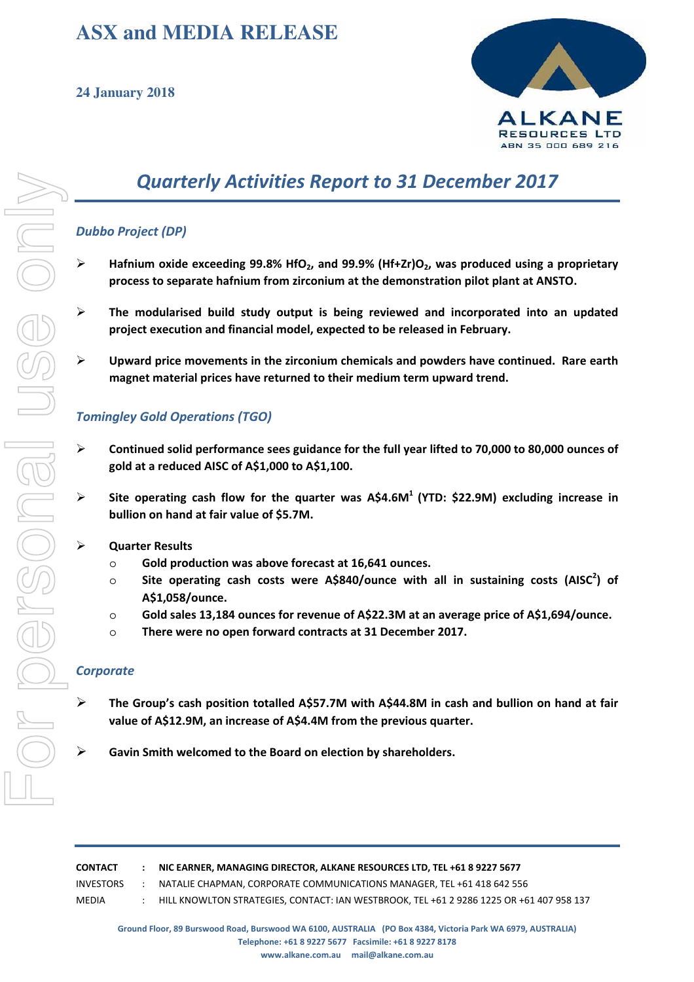# **ASX and MEDIA RELEASE**



# *Quarterly Activities Report to 31 December 2017*

## *Dubbo Project (DP)*

- **Hafnium oxide exceeding 99.8% HfO2, and 99.9% (Hf+Zr)O2, was produced using a proprietary process to separate hafnium from zirconium at the demonstration pilot plant at ANSTO.**
- **The modularised build study output is being reviewed and incorporated into an updated project execution and financial model, expected to be released in February.**
- **Upward price movements in the zirconium chemicals and powders have continued. Rare earth magnet material prices have returned to their medium term upward trend.**

## *Tomingley Gold Operations (TGO)*

- **Continued solid performance sees guidance for the full year lifted to 70,000 to 80,000 ounces of gold at a reduced AISC of A\$1,000 to A\$1,100.**
- **Site operating cash flow for the quarter was A\$4.6M<sup>1</sup> (YTD: \$22.9M) excluding increase in bullion on hand at fair value of \$5.7M.**

#### **Quarter Results**

- o **Gold production was above forecast at 16,641 ounces.**
- o **Site operating cash costs were A\$840/ounce with all in sustaining costs (AISC<sup>2</sup> ) of A\$1,058/ounce.**
- o **Gold sales 13,184 ounces for revenue of A\$22.3M at an average price of A\$1,694/ounce.**
- o **There were no open forward contracts at 31 December 2017.**

#### *Corporate*

- **The Group's cash position totalled A\$57.7M with A\$44.8M in cash and bullion on hand at fair value of A\$12.9M, an increase of A\$4.4M from the previous quarter.**
- **Gavin Smith welcomed to the Board on election by shareholders.**

| CONTACT   | : NIC EARNER, MANAGING DIRECTOR, ALKANE RESOURCES LTD. TEL +61 8 9227 5677               |
|-----------|------------------------------------------------------------------------------------------|
| INVESTORS | NATALIE CHAPMAN. CORPORATE COMMUNICATIONS MANAGER. TEL +61 418 642 556                   |
| MEDIA     | HILL KNOWLTON STRATEGIES, CONTACT: IAN WESTBROOK, TEL +61 2 9286 1225 OR +61 407 958 137 |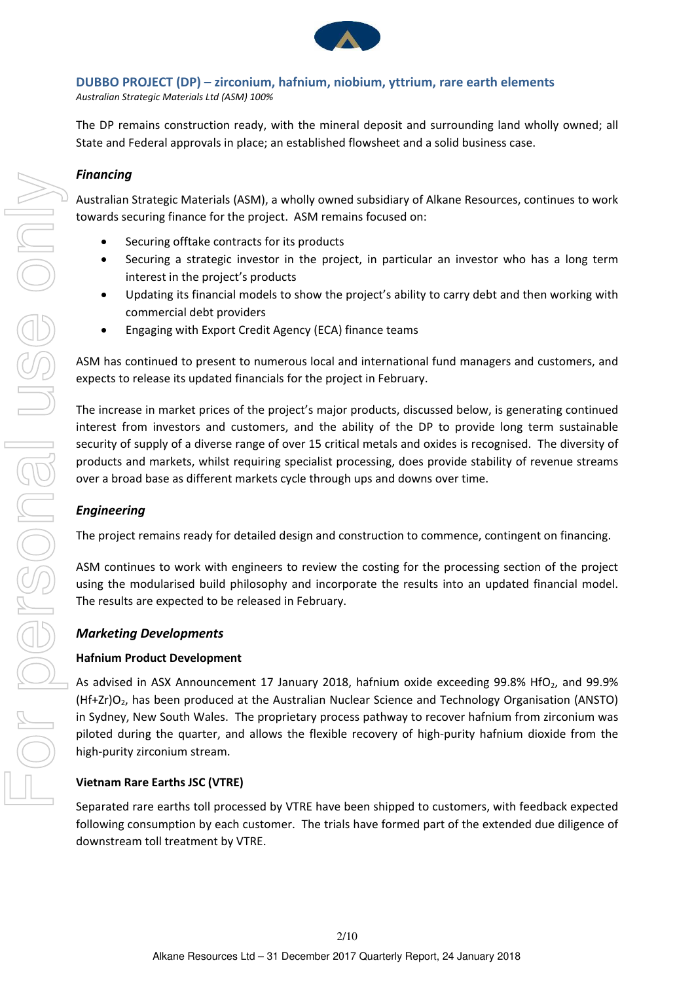

## **DUBBO PROJECT (DP) – zirconium, hafnium, niobium, yttrium, rare earth elements**

*Australian Strategic Materials Ltd (ASM) 100%*

The DP remains construction ready, with the mineral deposit and surrounding land wholly owned; all State and Federal approvals in place; an established flowsheet and a solid business case.

## *Financing*

Australian Strategic Materials (ASM), a wholly owned subsidiary of Alkane Resources, continues to work towards securing finance for the project. ASM remains focused on:

- Securing offtake contracts for its products
- Securing a strategic investor in the project, in particular an investor who has a long term interest in the project's products
- Updating its financial models to show the project's ability to carry debt and then working with commercial debt providers
- Engaging with Export Credit Agency (ECA) finance teams

ASM has continued to present to numerous local and international fund managers and customers, and expects to release its updated financials for the project in February.

The increase in market prices of the project's major products, discussed below, is generating continued interest from investors and customers, and the ability of the DP to provide long term sustainable security of supply of a diverse range of over 15 critical metals and oxides is recognised. The diversity of products and markets, whilst requiring specialist processing, does provide stability of revenue streams over a broad base as different markets cycle through ups and downs over time.

## *Engineering*

The project remains ready for detailed design and construction to commence, contingent on financing.

ASM continues to work with engineers to review the costing for the processing section of the project using the modularised build philosophy and incorporate the results into an updated financial model. The results are expected to be released in February.

## *Marketing Developments*

## **Hafnium Product Development**

As advised in ASX Announcement 17 January 2018, hafnium oxide exceeding 99.8% HfO<sub>2</sub>, and 99.9% (Hf+Zr)O2, has been produced at the Australian Nuclear Science and Technology Organisation (ANSTO) in Sydney, New South Wales. The proprietary process pathway to recover hafnium from zirconium was piloted during the quarter, and allows the flexible recovery of high‐purity hafnium dioxide from the high‐purity zirconium stream.

## **Vietnam Rare Earths JSC (VTRE)**

Separated rare earths toll processed by VTRE have been shipped to customers, with feedback expected following consumption by each customer. The trials have formed part of the extended due diligence of downstream toll treatment by VTRE.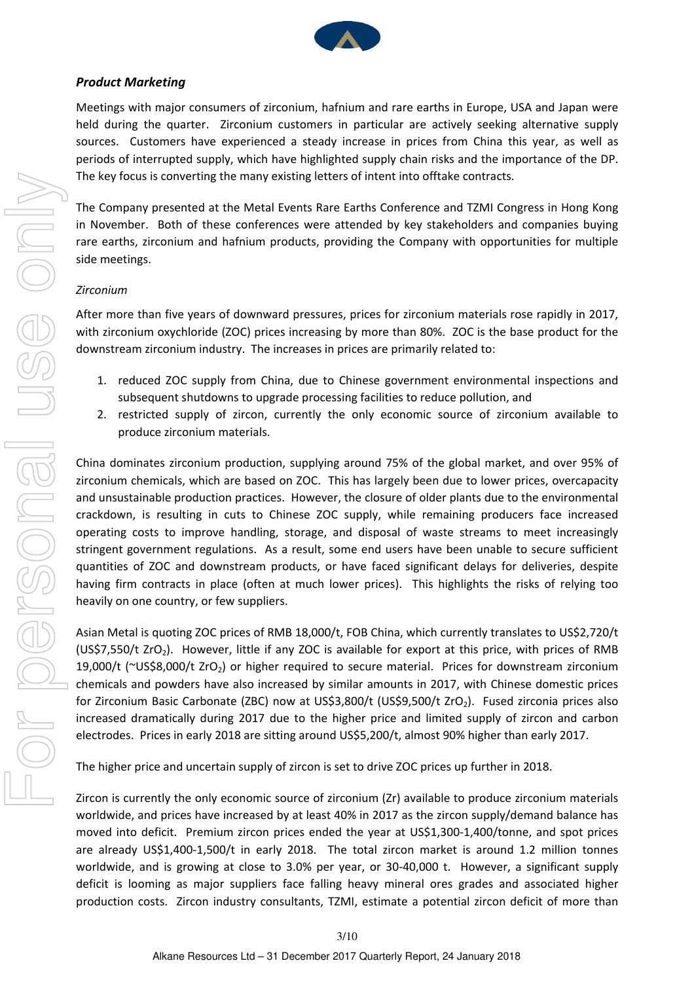

## *Product Marketing*

Meetings with major consumers of zirconium, hafnium and rare earths in Europe, USA and Japan were held during the quarter. Zirconium customers in particular are actively seeking alternative supply sources. Customers have experienced a steady increase in prices from China this year, as well as periods of interrupted supply, which have highlighted supply chain risks and the importance of the DP. The key focus is converting the many existing letters of intent into offtake contracts.

The Company presented at the Metal Events Rare Earths Conference and TZMI Congress in Hong Kong in November. Both of these conferences were attended by key stakeholders and companies buying rare earths, zirconium and hafnium products, providing the Company with opportunities for multiple side meetings.

### *Zirconium*

After more than five years of downward pressures, prices for zirconium materials rose rapidly in 2017, with zirconium oxychloride (ZOC) prices increasing by more than 80%. ZOC is the base product for the downstream zirconium industry. The increases in prices are primarily related to:

- 1. reduced ZOC supply from China, due to Chinese government environmental inspections and subsequent shutdowns to upgrade processing facilities to reduce pollution, and
- 2. restricted supply of zircon, currently the only economic source of zirconium available to produce zirconium materials.

China dominates zirconium production, supplying around 75% of the global market, and over 95% of zirconium chemicals, which are based on ZOC. This has largely been due to lower prices, overcapacity and unsustainable production practices. However, the closure of older plants due to the environmental crackdown, is resulting in cuts to Chinese ZOC supply, while remaining producers face increased operating costs to improve handling, storage, and disposal of waste streams to meet increasingly stringent government regulations. As a result, some end users have been unable to secure sufficient quantities of ZOC and downstream products, or have faced significant delays for deliveries, despite having firm contracts in place (often at much lower prices). This highlights the risks of relying too heavily on one country, or few suppliers.

Asian Metal is quoting ZOC prices of RMB 18,000/t, FOB China, which currently translates to US\$2,720/t (US\$7,550/t ZrO<sub>2</sub>). However, little if any ZOC is available for export at this price, with prices of RMB 19,000/t (~US\$8,000/t ZrO<sub>2</sub>) or higher required to secure material. Prices for downstream zirconium chemicals and powders have also increased by similar amounts in 2017, with Chinese domestic prices for Zirconium Basic Carbonate (ZBC) now at US\$3,800/t (US\$9,500/t ZrO2). Fused zirconia prices also increased dramatically during 2017 due to the higher price and limited supply of zircon and carbon electrodes. Prices in early 2018 are sitting around US\$5,200/t, almost 90% higher than early 2017.

The higher price and uncertain supply of zircon is set to drive ZOC prices up further in 2018.

Zircon is currently the only economic source of zirconium (Zr) available to produce zirconium materials worldwide, and prices have increased by at least 40% in 2017 as the zircon supply/demand balance has moved into deficit. Premium zircon prices ended the year at US\$1,300-1,400/tonne, and spot prices are already US\$1,400-1,500/t in early 2018. The total zircon market is around 1.2 million tonnes worldwide, and is growing at close to 3.0% per year, or 30-40,000 t. However, a significant supply deficit is looming as major suppliers face falling heavy mineral ores grades and associated higher production costs. Zircon industry consultants, TZMI, estimate a potential zircon deficit of more than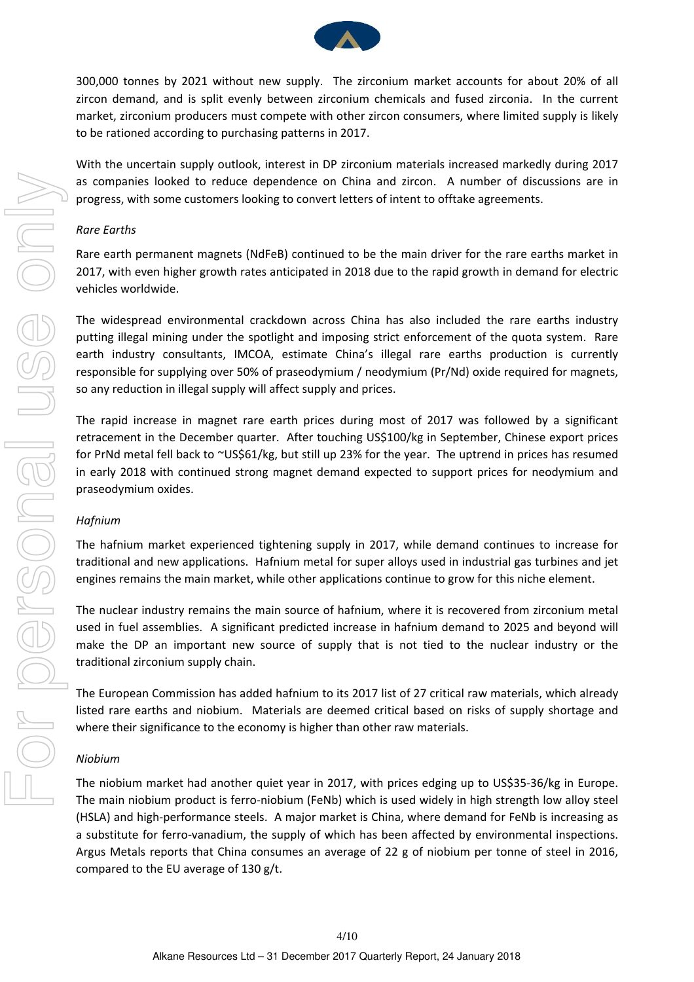

300,000 tonnes by 2021 without new supply. The zirconium market accounts for about 20% of all zircon demand, and is split evenly between zirconium chemicals and fused zirconia. In the current market, zirconium producers must compete with other zircon consumers, where limited supply is likely to be rationed according to purchasing patterns in 2017.

With the uncertain supply outlook, interest in DP zirconium materials increased markedly during 2017 as companies looked to reduce dependence on China and zircon. A number of discussions are in progress, with some customers looking to convert letters of intent to offtake agreements.

#### *Rare Earths*

Rare earth permanent magnets (NdFeB) continued to be the main driver for the rare earths market in 2017, with even higher growth rates anticipated in 2018 due to the rapid growth in demand for electric vehicles worldwide.

The widespread environmental crackdown across China has also included the rare earths industry putting illegal mining under the spotlight and imposing strict enforcement of the quota system. Rare earth industry consultants, IMCOA, estimate China's illegal rare earths production is currently responsible for supplying over 50% of praseodymium / neodymium (Pr/Nd) oxide required for magnets, so any reduction in illegal supply will affect supply and prices.

The rapid increase in magnet rare earth prices during most of 2017 was followed by a significant retracement in the December quarter. After touching US\$100/kg in September, Chinese export prices for PrNd metal fell back to ~US\$61/kg, but still up 23% for the year. The uptrend in prices has resumed in early 2018 with continued strong magnet demand expected to support prices for neodymium and praseodymium oxides.

#### *Hafnium*

The hafnium market experienced tightening supply in 2017, while demand continues to increase for traditional and new applications. Hafnium metal for super alloys used in industrial gas turbines and jet engines remains the main market, while other applications continue to grow for this niche element.

The nuclear industry remains the main source of hafnium, where it is recovered from zirconium metal used in fuel assemblies. A significant predicted increase in hafnium demand to 2025 and beyond will make the DP an important new source of supply that is not tied to the nuclear industry or the traditional zirconium supply chain.

The European Commission has added hafnium to its 2017 list of 27 critical raw materials, which already listed rare earths and niobium. Materials are deemed critical based on risks of supply shortage and where their significance to the economy is higher than other raw materials.

#### *Niobium*

The niobium market had another quiet year in 2017, with prices edging up to US\$35-36/kg in Europe. The main niobium product is ferro-niobium (FeNb) which is used widely in high strength low alloy steel (HSLA) and high‐performance steels. A major market is China, where demand for FeNb is increasing as a substitute for ferro-vanadium, the supply of which has been affected by environmental inspections. Argus Metals reports that China consumes an average of 22 g of niobium per tonne of steel in 2016, compared to the EU average of 130 g/t.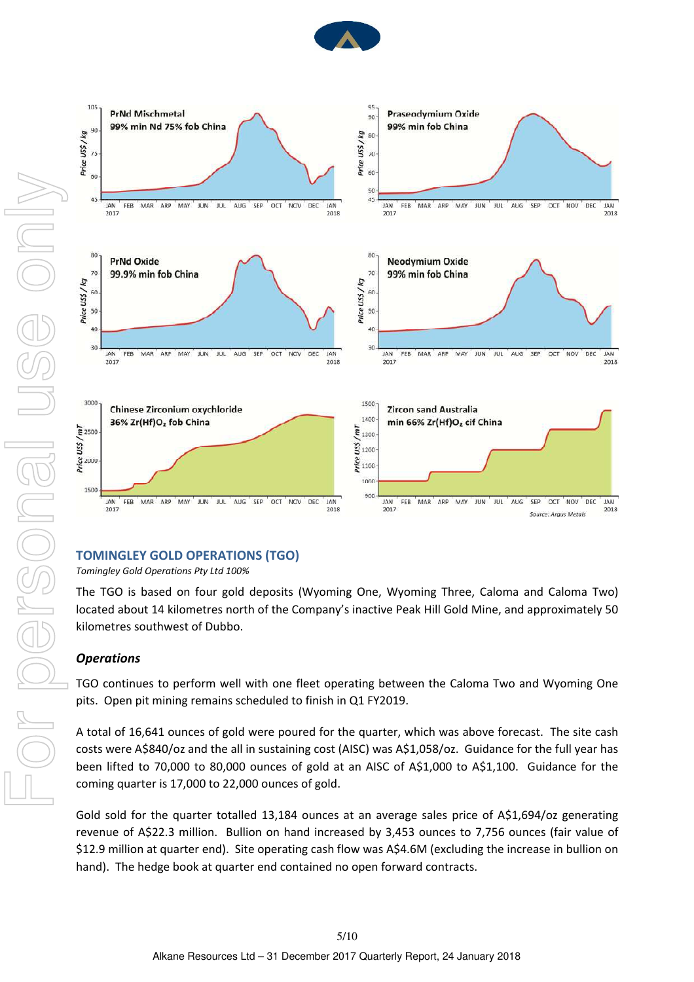



## **TOMINGLEY GOLD OPERATIONS (TGO)**

*Tomingley Gold Operations Pty Ltd 100%*

The TGO is based on four gold deposits (Wyoming One, Wyoming Three, Caloma and Caloma Two) located about 14 kilometres north of the Company's inactive Peak Hill Gold Mine, and approximately 50 kilometres southwest of Dubbo.

## *Operations*

TGO continues to perform well with one fleet operating between the Caloma Two and Wyoming One pits. Open pit mining remains scheduled to finish in Q1 FY2019.

A total of 16,641 ounces of gold were poured for the quarter, which was above forecast. The site cash costs were A\$840/oz and the all in sustaining cost (AISC) was A\$1,058/oz. Guidance for the full year has been lifted to 70,000 to 80,000 ounces of gold at an AISC of A\$1,000 to A\$1,100. Guidance for the coming quarter is 17,000 to 22,000 ounces of gold.

Gold sold for the quarter totalled 13,184 ounces at an average sales price of A\$1,694/oz generating revenue of A\$22.3 million. Bullion on hand increased by 3,453 ounces to 7,756 ounces (fair value of \$12.9 million at quarter end). Site operating cash flow was A\$4.6M (excluding the increase in bullion on hand). The hedge book at quarter end contained no open forward contracts.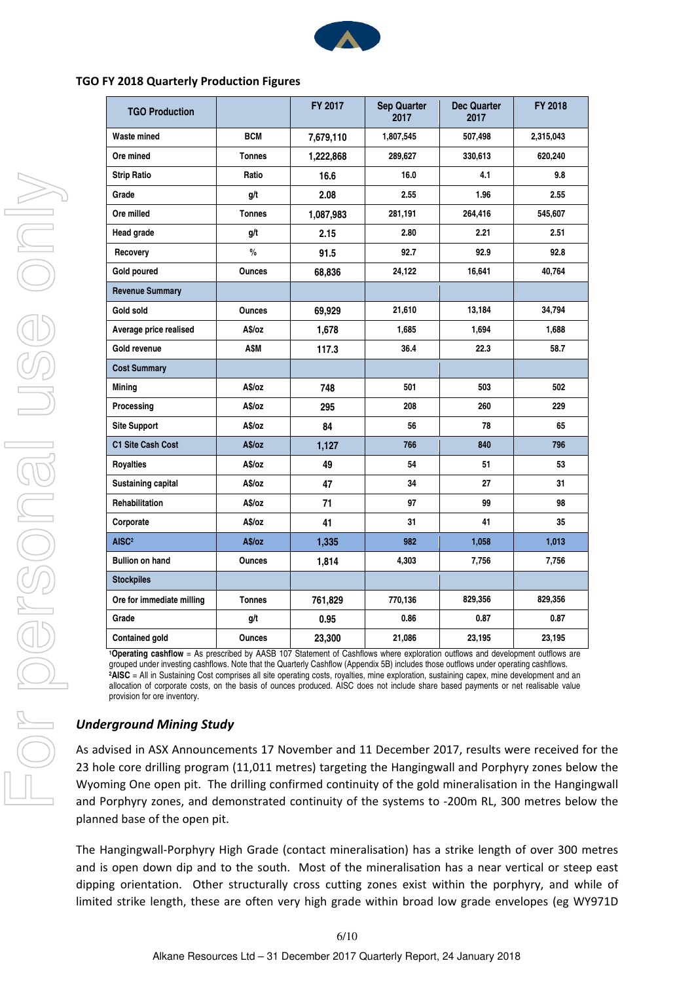

#### **TGO FY 2018 Quarterly Production Figures**

| <b>TGO Production</b>                                       |                       | FY 2017   | <b>Sep Quarter</b><br>2017 | <b>Dec Quarter</b><br>2017 | FY 2018   |
|-------------------------------------------------------------|-----------------------|-----------|----------------------------|----------------------------|-----------|
| Waste mined                                                 | <b>BCM</b>            | 7,679,110 | 1,807,545                  | 507,498                    | 2,315,043 |
| Ore mined                                                   | <b>Tonnes</b>         | 1,222,868 | 289,627                    | 330,613                    | 620,240   |
| <b>Strip Ratio</b>                                          | Ratio                 | 16.6      | 16.0                       | 4.1                        | 9.8       |
| Grade                                                       | g/t                   | 2.08      | 2.55                       | 1.96                       | 2.55      |
| Ore milled                                                  | <b>Tonnes</b>         | 1,087,983 | 281,191                    | 264,416                    | 545,607   |
| <b>Head grade</b>                                           | g/t                   | 2.15      | 2.80                       | 2.21                       | 2.51      |
| Recovery                                                    | $\frac{0}{0}$         | 91.5      | 92.7                       | 92.9                       | 92.8      |
| Gold poured                                                 | <b>Ounces</b>         | 68,836    | 24,122                     | 16,641                     | 40,764    |
| <b>Revenue Summary</b>                                      |                       |           |                            |                            |           |
| Gold sold                                                   | <b>Ounces</b>         | 69,929    | 21,610                     | 13,184                     | 34,794    |
| Average price realised                                      | A\$/oz                | 1,678     | 1,685                      | 1,694                      | 1,688     |
| Gold revenue                                                | A\$M                  | 117.3     | 36.4                       | 22.3                       | 58.7      |
| <b>Cost Summary</b>                                         |                       |           |                            |                            |           |
| Mining                                                      | A\$/oz                | 748       | 501                        | 503                        | 502       |
| Processing                                                  | A\$/oz                | 295       | 208                        | 260                        | 229       |
| <b>Site Support</b>                                         | A\$/oz                | 84        | 56                         | 78                         | 65        |
| C1 Site Cash Cost                                           | A\$/oz                | 1,127     | 766                        | 840                        | 796       |
| <b>Royalties</b>                                            | A\$/oz                | 49        | 54                         | 51                         | 53        |
| Sustaining capital                                          | A\$/oz                | 47        | 34                         | 27                         | 31        |
| Rehabilitation                                              | A\$/oz                | 71        | 97                         | 99                         | 98        |
| Corporate                                                   | A\$/oz                | 41        | 31                         | 41                         | 35        |
| AISC <sup>2</sup>                                           | A\$/oz                | 1,335     | 982                        | 1,058                      | 1,013     |
| <b>Bullion on hand</b>                                      | <b>Ounces</b>         | 1,814     | 4,303                      | 7,756                      | 7,756     |
| <b>Stockpiles</b>                                           |                       |           |                            |                            |           |
| Ore for immediate milling                                   | <b>Tonnes</b>         | 761,829   | 770,136                    | 829,356                    | 829,356   |
| Grade                                                       | g/t                   | 0.95      | 0.86                       | 0.87                       | 0.87      |
| <b>Contained gold</b><br>$\overline{\phantom{a}}$<br>$\sim$ | Ounces<br>$100 - 107$ | 23,300    | 21,086                     | 23,195<br>$\cdot$ $\cdot$  | 23,195    |

**<sup>1</sup>Operating cashflow** = As prescribed by AASB 107 Statement of Cashflows where exploration outflows and development outflows are grouped under investing cashflows. Note that the Quarterly Cashflow (Appendix 5B) includes those outflows under operating cashflows. **<sup>2</sup>AISC** = All in Sustaining Cost comprises all site operating costs, royalties, mine exploration, sustaining capex, mine development and an allocation of corporate costs, on the basis of ounces produced. AISC does not include share based payments or net realisable value provision for ore inventory.

## *Underground Mining Study*

As advised in ASX Announcements 17 November and 11 December 2017, results were received for the 23 hole core drilling program (11,011 metres) targeting the Hangingwall and Porphyry zones below the Wyoming One open pit. The drilling confirmed continuity of the gold mineralisation in the Hangingwall and Porphyry zones, and demonstrated continuity of the systems to ‐200m RL, 300 metres below the planned base of the open pit.

The Hangingwall‐Porphyry High Grade (contact mineralisation) has a strike length of over 300 metres and is open down dip and to the south. Most of the mineralisation has a near vertical or steep east dipping orientation. Other structurally cross cutting zones exist within the porphyry, and while of limited strike length, these are often very high grade within broad low grade envelopes (eg WY971D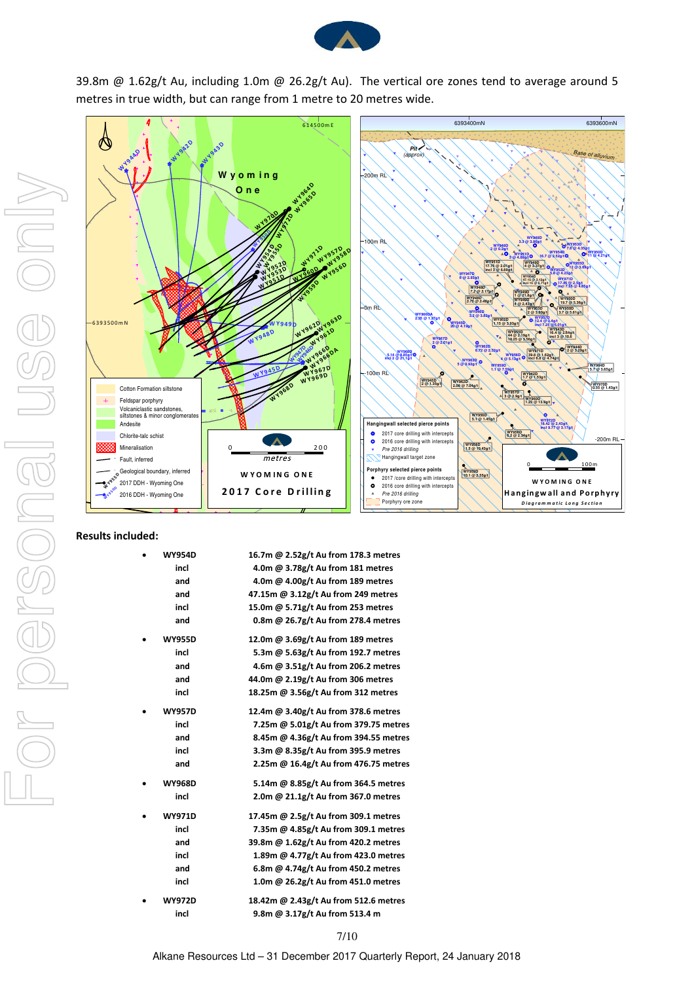

39.8m @ 1.62g/t Au, including 1.0m @ 26.2g/t Au). The vertical ore zones tend to average around 5 metres in true width, but can range from 1 metre to 20 metres wide.



#### **Results included:**

| <b>WY954D</b> | 16.7m @ 2.52g/t Au from 178.3 metres  |
|---------------|---------------------------------------|
| incl          | 4.0m @ 3.78g/t Au from 181 metres     |
| and           | 4.0m @ 4.00g/t Au from 189 metres     |
| and           | 47.15m @ 3.12g/t Au from 249 metres   |
| incl          | 15.0m @ 5.71g/t Au from 253 metres    |
| and           | 0.8m @ 26.7g/t Au from 278.4 metres   |
| <b>WY955D</b> | 12.0m @ 3.69g/t Au from 189 metres    |
| incl          | 5.3m @ 5.63g/t Au from 192.7 metres   |
| and           | 4.6m @ 3.51g/t Au from 206.2 metres   |
| and           | 44.0m @ 2.19g/t Au from 306 metres    |
| incl          | 18.25m @ 3.56g/t Au from 312 metres   |
| <b>WY957D</b> | 12.4m @ 3.40g/t Au from 378.6 metres  |
| incl          | 7.25m @ 5.01g/t Au from 379.75 metres |
| and           | 8.45m @ 4.36g/t Au from 394.55 metres |
| incl          | 3.3m @ 8.35g/t Au from 395.9 metres   |
| and           | 2.25m @ 16.4g/t Au from 476.75 metres |
| <b>WY968D</b> | 5.14m @ 8.85g/t Au from 364.5 metres  |
| incl          | 2.0m @ 21.1g/t Au from 367.0 metres   |
| <b>WY971D</b> | 17.45m @ 2.5g/t Au from 309.1 metres  |
| incl          | 7.35m @ 4.85g/t Au from 309.1 metres  |
| and           | 39.8m @ 1.62g/t Au from 420.2 metres  |
| incl          | 1.89m @ 4.77g/t Au from 423.0 metres  |
| and           | 6.8m @ 4.74g/t Au from 450.2 metres   |
| incl          | 1.0m @ 26.2g/t Au from 451.0 metres   |
| <b>WY972D</b> | 18.42m @ 2.43g/t Au from 512.6 metres |
| incl          | 9.8m @ 3.17g/t Au from 513.4 m        |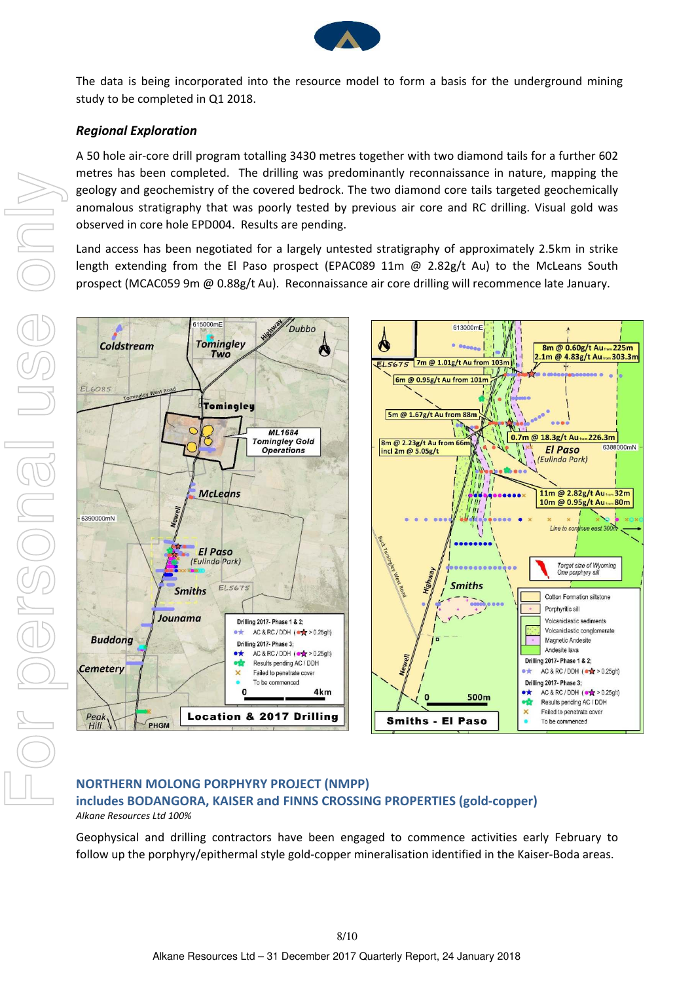

The data is being incorporated into the resource model to form a basis for the underground mining study to be completed in Q1 2018.

## *Regional Exploration*

A 50 hole air‐core drill program totalling 3430 metres together with two diamond tails for a further 602 metres has been completed. The drilling was predominantly reconnaissance in nature, mapping the geology and geochemistry of the covered bedrock. The two diamond core tails targeted geochemically anomalous stratigraphy that was poorly tested by previous air core and RC drilling. Visual gold was observed in core hole EPD004. Results are pending.

Land access has been negotiated for a largely untested stratigraphy of approximately 2.5km in strike length extending from the El Paso prospect (EPAC089 11m @ 2.82g/t Au) to the McLeans South prospect (MCAC059 9m @ 0.88g/t Au). Reconnaissance air core drilling will recommence late January.



## **NORTHERN MOLONG PORPHYRY PROJECT (NMPP) includes BODANGORA, KAISER and FINNS CROSSING PROPERTIES (gold‐copper)** *Alkane Resources Ltd 100%*

Geophysical and drilling contractors have been engaged to commence activities early February to follow up the porphyry/epithermal style gold‐copper mineralisation identified in the Kaiser‐Boda areas.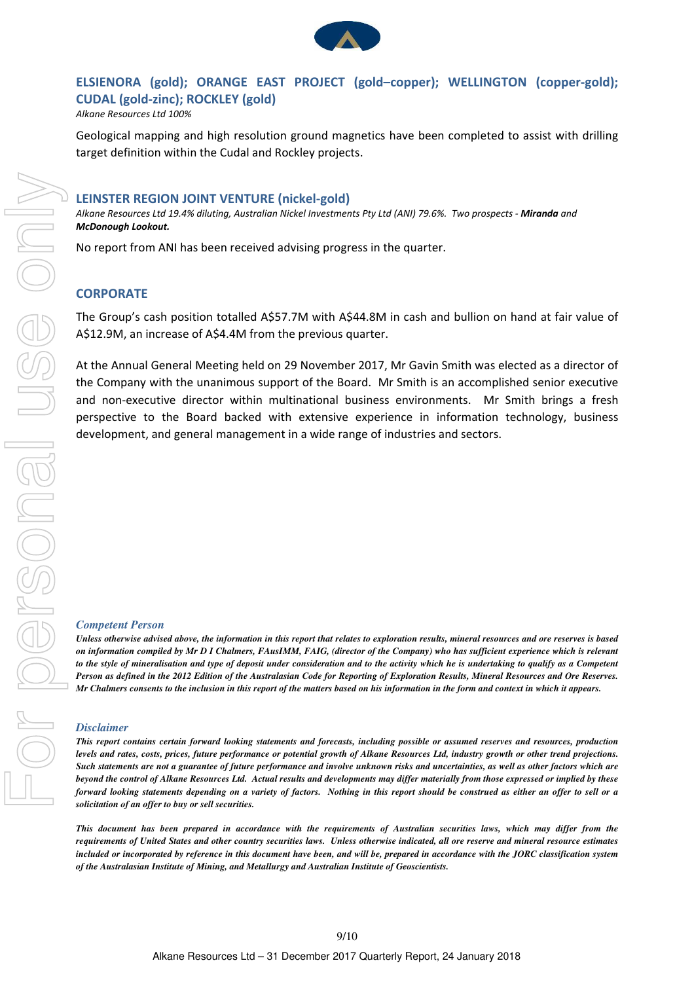

## **ELSIENORA (gold); ORANGE EAST PROJECT (gold–copper); WELLINGTON (copper‐gold); CUDAL (gold‐zinc); ROCKLEY (gold)**

*Alkane Resources Ltd 100%*

Geological mapping and high resolution ground magnetics have been completed to assist with drilling target definition within the Cudal and Rockley projects.

### **LEINSTER REGION JOINT VENTURE (nickel‐gold)**

Alkane Resources Ltd 19.4% diluting, Australian Nickel Investments Pty Ltd (ANI) 79.6%. Two prospects - Miranda and *McDonough Lookout.*

No report from ANI has been received advising progress in the quarter.

#### **CORPORATE**

The Group's cash position totalled A\$57.7M with A\$44.8M in cash and bullion on hand at fair value of A\$12.9M, an increase of A\$4.4M from the previous quarter.

At the Annual General Meeting held on 29 November 2017, Mr Gavin Smith was elected as a director of the Company with the unanimous support of the Board. Mr Smith is an accomplished senior executive and non-executive director within multinational business environments. Mr Smith brings a fresh perspective to the Board backed with extensive experience in information technology, business development, and general management in a wide range of industries and sectors.

#### *Competent Person*

*Unless otherwise advised above, the information in this report that relates to exploration results, mineral resources and ore reserves is based on information compiled by Mr D I Chalmers, FAusIMM, FAIG, (director of the Company) who has sufficient experience which is relevant to the style of mineralisation and type of deposit under consideration and to the activity which he is undertaking to qualify as a Competent Person as defined in the 2012 Edition of the Australasian Code for Reporting of Exploration Results, Mineral Resources and Ore Reserves. Mr Chalmers consents to the inclusion in this report of the matters based on his information in the form and context in which it appears.*

#### *Disclaimer*

*This report contains certain forward looking statements and forecasts, including possible or assumed reserves and resources, production levels and rates, costs, prices, future performance or potential growth of Alkane Resources Ltd, industry growth or other trend projections. Such statements are not a guarantee of future performance and involve unknown risks and uncertainties, as well as other factors which are beyond the control of Alkane Resources Ltd. Actual results and developments may differ materially from those expressed or implied by these forward looking statements depending on a variety of factors. Nothing in this report should be construed as either an offer to sell or a solicitation of an offer to buy or sell securities.* 

*This document has been prepared in accordance with the requirements of Australian securities laws, which may differ from the requirements of United States and other country securities laws. Unless otherwise indicated, all ore reserve and mineral resource estimates included or incorporated by reference in this document have been, and will be, prepared in accordance with the JORC classification system of the Australasian Institute of Mining, and Metallurgy and Australian Institute of Geoscientists.*